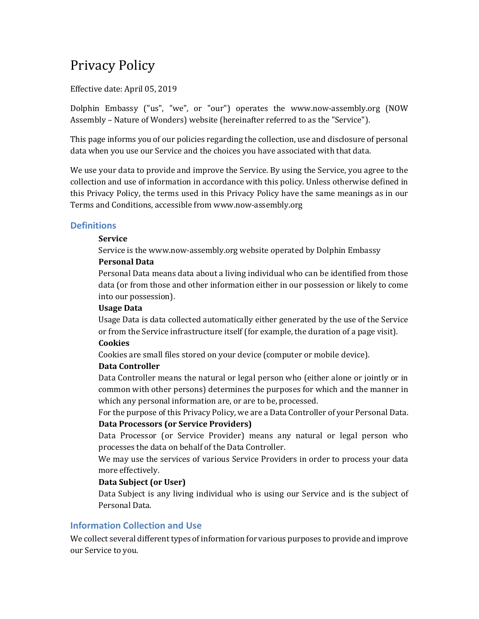# Privacy Policy

#### Effective date: April 05, 2019

Dolphin Embassy ("us", "we", or "our") operates the www.now-assembly.org (NOW Assembly - Nature of Wonders) website (hereinafter referred to as the "Service").

This page informs you of our policies regarding the collection, use and disclosure of personal data when you use our Service and the choices you have associated with that data.

We use your data to provide and improve the Service. By using the Service, you agree to the collection and use of information in accordance with this policy. Unless otherwise defined in this Privacy Policy, the terms used in this Privacy Policy have the same meanings as in our Terms and Conditions, accessible from www.now-assembly.org

## **Definitions**

#### **Service**

Service is the www.now-assembly.org website operated by Dolphin Embassy

#### **Personal Data**

Personal Data means data about a living individual who can be identified from those data (or from those and other information either in our possession or likely to come into our possession).

#### **Usage Data**

Usage Data is data collected automatically either generated by the use of the Service or from the Service infrastructure itself (for example, the duration of a page visit).

#### **Cookies**

Cookies are small files stored on your device (computer or mobile device).

#### **Data Controller**

Data Controller means the natural or legal person who (either alone or jointly or in common with other persons) determines the purposes for which and the manner in which any personal information are, or are to be, processed.

For the purpose of this Privacy Policy, we are a Data Controller of your Personal Data. **Data Processors (or Service Providers)** 

Data Processor (or Service Provider) means any natural or legal person who processes the data on behalf of the Data Controller.

We may use the services of various Service Providers in order to process your data more effectively.

## **Data Subject (or User)**

Data Subject is any living individual who is using our Service and is the subject of Personal Data.

## **Information Collection and Use**

We collect several different types of information for various purposes to provide and improve our Service to you.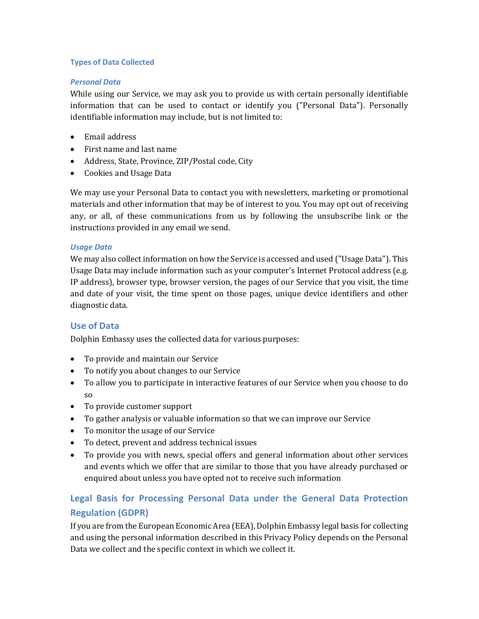#### **Types of Data Collected**

#### *Personal Data*

While using our Service, we may ask you to provide us with certain personally identifiable information that can be used to contact or identify you ("Personal Data"). Personally identifiable information may include, but is not limited to:

- Email address
- First name and last name
- Address, State, Province, ZIP/Postal code, City
- Cookies and Usage Data

We may use your Personal Data to contact you with newsletters, marketing or promotional materials and other information that may be of interest to you. You may opt out of receiving any, or all, of these communications from us by following the unsubscribe link or the instructions provided in any email we send.

#### *Usage Data*

We may also collect information on how the Service is accessed and used ("Usage Data"). This Usage Data may include information such as your computer's Internet Protocol address (e.g. IP address), browser type, browser version, the pages of our Service that you visit, the time and date of your visit, the time spent on those pages, unique device identifiers and other diagnostic data.

#### **Use of Data**

Dolphin Embassy uses the collected data for various purposes:

- To provide and maintain our Service
- To notify you about changes to our Service
- To allow you to participate in interactive features of our Service when you choose to do so
- To provide customer support
- To gather analysis or valuable information so that we can improve our Service
- To monitor the usage of our Service
- To detect, prevent and address technical issues
- To provide you with news, special offers and general information about other services and events which we offer that are similar to those that you have already purchased or enquired about unless you have opted not to receive such information

## **Legal Basis for Processing Personal Data under the General Data Protection Regulation (GDPR)**

If you are from the European Economic Area (EEA), Dolphin Embassy legal basis for collecting and using the personal information described in this Privacy Policy depends on the Personal Data we collect and the specific context in which we collect it.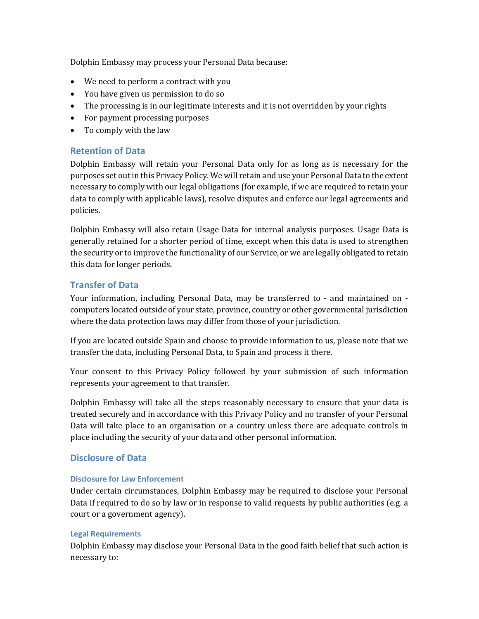Dolphin Embassy may process your Personal Data because:

- We need to perform a contract with you
- You have given us permission to do so
- The processing is in our legitimate interests and it is not overridden by your rights
- For payment processing purposes
- To comply with the law

### **Retention of Data**

Dolphin Embassy will retain your Personal Data only for as long as is necessary for the purposes set out in this Privacy Policy. We will retain and use your Personal Data to the extent necessary to comply with our legal obligations (for example, if we are required to retain your data to comply with applicable laws), resolve disputes and enforce our legal agreements and policies.

Dolphin Embassy will also retain Usage Data for internal analysis purposes. Usage Data is generally retained for a shorter period of time, except when this data is used to strengthen the security or to improve the functionality of our Service, or we are legally obligated to retain this data for longer periods.

## **Transfer of Data**

Your information, including Personal Data, may be transferred to - and maintained on computers located outside of your state, province, country or other governmental jurisdiction where the data protection laws may differ from those of your jurisdiction.

If you are located outside Spain and choose to provide information to us, please note that we transfer the data, including Personal Data, to Spain and process it there.

Your consent to this Privacy Policy followed by your submission of such information represents your agreement to that transfer.

Dolphin Embassy will take all the steps reasonably necessary to ensure that your data is treated securely and in accordance with this Privacy Policy and no transfer of your Personal Data will take place to an organisation or a country unless there are adequate controls in place including the security of your data and other personal information.

## **Disclosure of Data**

#### **Disclosure for Law Enforcement**

Under certain circumstances, Dolphin Embassy may be required to disclose your Personal Data if required to do so by law or in response to valid requests by public authorities (e.g. a court or a government agency).

#### **Legal Requirements**

Dolphin Embassy may disclose your Personal Data in the good faith belief that such action is necessary to: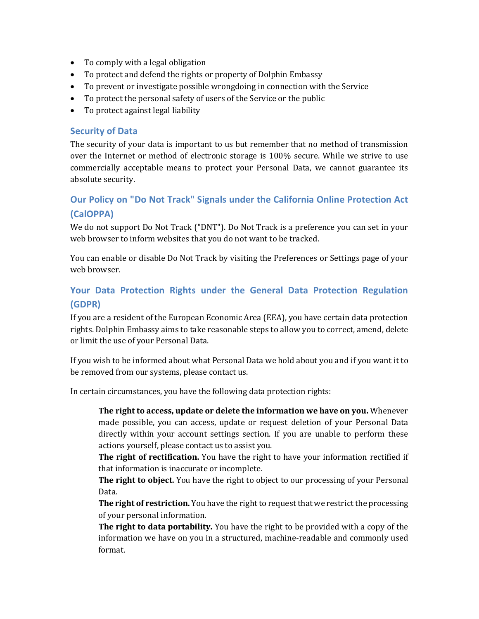- To comply with a legal obligation
- To protect and defend the rights or property of Dolphin Embassy
- To prevent or investigate possible wrongdoing in connection with the Service
- To protect the personal safety of users of the Service or the public
- To protect against legal liability

#### **Security of Data**

The security of your data is important to us but remember that no method of transmission over the Internet or method of electronic storage is 100% secure. While we strive to use commercially acceptable means to protect your Personal Data, we cannot guarantee its absolute security.

# **Our Policy on "Do Not Track" Signals under the California Online Protection Act (CalOPPA)**

We do not support Do Not Track ("DNT"). Do Not Track is a preference you can set in your web browser to inform websites that you do not want to be tracked.

You can enable or disable Do Not Track by visiting the Preferences or Settings page of your web browser.

# **Your Data Protection Rights under the General Data Protection Regulation (GDPR)**

If you are a resident of the European Economic Area (EEA), you have certain data protection rights. Dolphin Embassy aims to take reasonable steps to allow you to correct, amend, delete or limit the use of your Personal Data.

If you wish to be informed about what Personal Data we hold about you and if you want it to be removed from our systems, please contact us.

In certain circumstances, you have the following data protection rights:

**The right to access, update or delete the information we have on you.** Whenever made possible, you can access, update or request deletion of your Personal Data directly within your account settings section. If you are unable to perform these actions yourself, please contact us to assist you.

**The right of rectification.** You have the right to have your information rectified if that information is inaccurate or incomplete.

**The right to object.** You have the right to object to our processing of your Personal Data.

**The right of restriction.** You have the right to request that we restrict the processing of your personal information.

**The right to data portability.** You have the right to be provided with a copy of the information we have on you in a structured, machine-readable and commonly used format.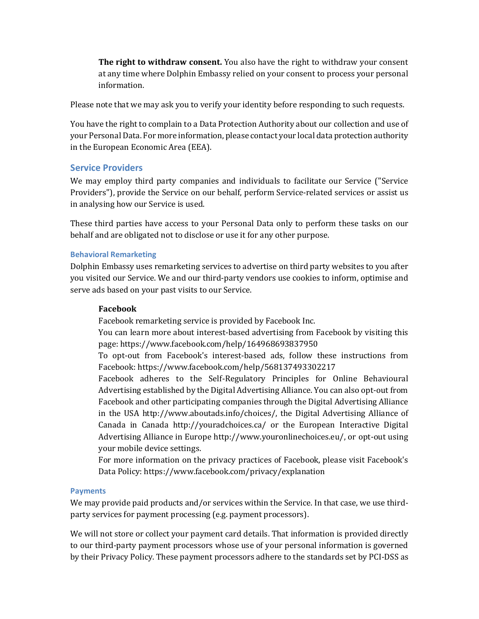**The right to withdraw consent.** You also have the right to withdraw your consent at any time where Dolphin Embassy relied on your consent to process your personal information.

Please note that we may ask you to verify your identity before responding to such requests.

You have the right to complain to a Data Protection Authority about our collection and use of your Personal Data. For more information, please contact your local data protection authority in the European Economic Area (EEA).

#### **Service Providers**

We may employ third party companies and individuals to facilitate our Service ("Service") Providers"), provide the Service on our behalf, perform Service-related services or assist us in analysing how our Service is used.

These third parties have access to your Personal Data only to perform these tasks on our behalf and are obligated not to disclose or use it for any other purpose.

#### **Behavioral Remarketing**

Dolphin Embassy uses remarketing services to advertise on third party websites to you after you visited our Service. We and our third-party vendors use cookies to inform, optimise and serve ads based on your past visits to our Service.

#### **Facebook**

Facebook remarketing service is provided by Facebook Inc.

You can learn more about interest-based advertising from Facebook by visiting this page: https://www.facebook.com/help/164968693837950

To opt-out from Facebook's interest-based ads, follow these instructions from Facebook: https://www.facebook.com/help/568137493302217

Facebook adheres to the Self-Regulatory Principles for Online Behavioural Advertising established by the Digital Advertising Alliance. You can also opt-out from Facebook and other participating companies through the Digital Advertising Alliance in the USA http://www.aboutads.info/choices/, the Digital Advertising Alliance of Canada in Canada http://youradchoices.ca/ or the European Interactive Digital Advertising Alliance in Europe http://www.youronlinechoices.eu/, or opt-out using your mobile device settings.

For more information on the privacy practices of Facebook, please visit Facebook's Data Policy: https://www.facebook.com/privacy/explanation

#### **Payments**

We may provide paid products and/or services within the Service. In that case, we use thirdparty services for payment processing (e.g. payment processors).

We will not store or collect your payment card details. That information is provided directly to our third-party payment processors whose use of your personal information is governed by their Privacy Policy. These payment processors adhere to the standards set by PCI-DSS as